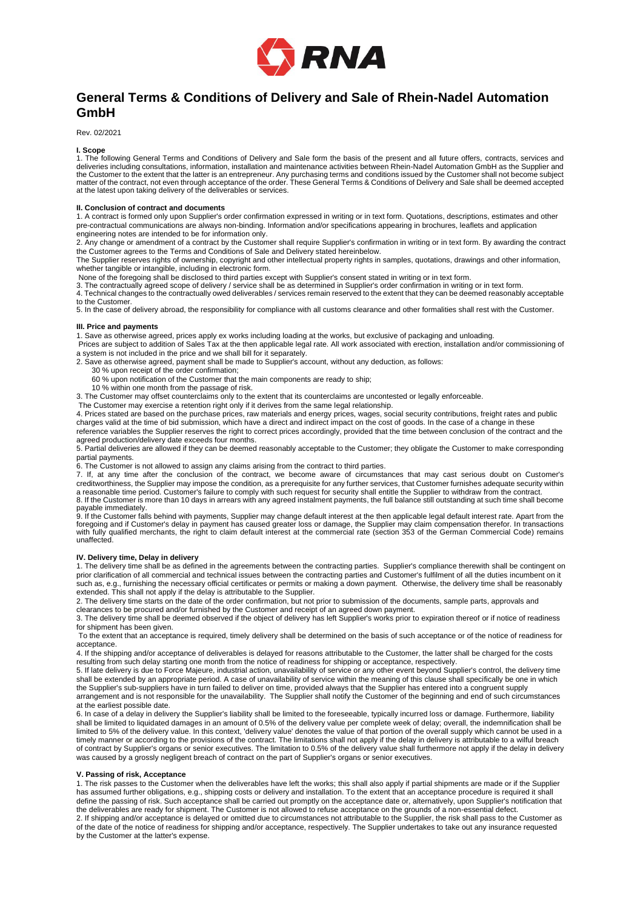

# **General Terms & Conditions of Delivery and Sale of Rhein-Nadel Automation GmbH**

Rev. 02/2021

**I. Scope**

1. The following General Terms and Conditions of Delivery and Sale form the basis of the present and all future offers, contracts, services and deliveries including consultations, information, installation and maintenance activities between Rhein-Nadel Automation GmbH as the Supplier and the Customer to the extent that the latter is an entrepreneur. Any purchasing terms and conditions issued by the Customer shall not become subject<br>matter of the contract, not even through acceptance of the order. These Gen at the latest upon taking delivery of the deliverables or services.

## **II. Conclusion of contract and documents**

1. A contract is formed only upon Supplier's order confirmation expressed in writing or in text form. Quotations, descriptions, estimates and other pre-contractual communications are always non-binding. Information and/or specifications appearing in brochures, leaflets and application engineering notes are intended to be for information only.

2. Any change or amendment of a contract by the Customer shall require Supplier's confirmation in writing or in text form. By awarding the contract the Customer agrees to the Terms and Conditions of Sale and Delivery stated hereinbelow.

The Supplier reserves rights of ownership, copyright and other intellectual property rights in samples, quotations, drawings and other information, whether tangible or intangible, including in electronic form.

None of the foregoing shall be disclosed to third parties except with Supplier's consent stated in writing or in text form.<br>3. The contractually agreed scope of delivery / service shall be as determined in Supplier's order 4. Technical changes to the contractually owed deliverables / services remain reserved to the extent that they can be deemed reasonably acceptable

to the Customer.

5. In the case of delivery abroad, the responsibility for compliance with all customs clearance and other formalities shall rest with the Customer.

## **III. Price and payments**

1. Save as otherwise agreed, prices apply ex works including loading at the works, but exclusive of packaging and unloading.

Prices are subject to addition of Sales Tax at the then applicable legal rate. All work associated with erection, installation and/or commissioning of a system is not included in the price and we shall bill for it separately.

2. Save as otherwise agreed, payment shall be made to Supplier's account, without any deduction, as follows:

- 30 % upon receipt of the order confirmation;
	- 60 % upon notification of the Customer that the main components are ready to ship;
	- 10 % within one month from the passage of risk.

3. The Customer may offset counterclaims only to the extent that its counterclaims are uncontested or legally enforceable.

The Customer may exercise a retention right only if it derives from the same legal relationship.

4. Prices stated are based on the purchase prices, raw materials and energy prices, wages, social security contributions, freight rates and public charges valid at the time of bid submission, which have a direct and indirect impact on the cost of goods. In the case of a change in these reference variables the Supplier reserves the right to correct prices accordingly, provided that the time between conclusion of the contract and the agreed production/delivery date exceeds four months.

5. Partial deliveries are allowed if they can be deemed reasonably acceptable to the Customer; they obligate the Customer to make corresponding partial payments.

6. The Customer is not allowed to assign any claims arising from the contract to third parties.

7. If, at any time after the conclusion of the contract, we become aware of circumstances that may cast serious doubt on Customer's creditworthiness, the Supplier may impose the condition, as a prerequisite for any further services, that Customer furnishes adequate security within a reasonable time period. Customer's failure to comply with such request for security shall entitle the Supplier to withdraw from the contract.<br>8. If the Customer is more than 10 days in arrears with any agreed instalment

payable immediately.<br>9. If the Customer falls behind with payments, Supplier may change default interest at the then applicable legal default interest rate. Apart from the<br>foregoing and if Customer's delay in payment has c with fully qualified merchants, the right to claim default interest at the commercial rate (section 353 of the German Commercial Code) remains unaffected

## **IV. Delivery time, Delay in delivery**

1. The delivery time shall be as defined in the agreements between the contracting parties. Supplier's compliance therewith shall be contingent on prior clarification of all commercial and technical issues between the contracting parties and Customer's fulfilment of all the duties incumbent on it such as, e.g., furnishing the necessary official certificates or permits or making a down payment. Otherwise, the delivery time shall be reasonably extended. This shall not apply if the delay is attributable to the Supplier.

2. The delivery time starts on the date of the order confirmation, but not prior to submission of the documents, sample parts, approvals and

clearances to be procured and/or furnished by the Customer and receipt of an agreed down payment.

3. The delivery time shall be deemed observed if the object of delivery has left Supplier's works prior to expiration thereof or if notice of readiness for shipment has been given.

To the extent that an acceptance is required, timely delivery shall be determined on the basis of such acceptance or of the notice of readiness for acceptance.

4. If the shipping and/or acceptance of deliverables is delayed for reasons attributable to the Customer, the latter shall be charged for the costs resulting from such delay starting one month from the notice of readiness for shipping or acceptance, respectively.

5. If late delivery is due to Force Majeure, industrial action, unavailability of service or any other event beyond Supplier's control, the delivery time shall be extended by an appropriate period. A case of unavailability of service within the meaning of this clause shall specifically be one in which the Supplier's sub-suppliers have in turn failed to deliver on time, provided always that the Supplier has entered into a congruent supply arrangement and is not responsible for the unavailability. The Supplier shall notify the Customer of the beginning and end of such circumstances at the earliest possible date.

6. In case of a delay in delivery the Supplier's liability shall be limited to the foreseeable, typically incurred loss or damage. Furthermore, liability shall be limited to liquidated damages in an amount of 0.5% of the delivery value per complete week of delay; overall, the indemnification shall be limited to 5% of the delivery value. In this context, 'delivery value' denotes the value of that portion of the overall supply which cannot be used in a timely manner or according to the provisions of the contract. The limitations shall not apply if the delay in delivery is attributable to a wilful breach of contract by Supplier's organs or senior executives. The limitation to 0.5% of the delivery value shall furthermore not apply if the delay in delivery was caused by a grossly negligent breach of contract on the part of Supplier's organs or senior executives.

## **V. Passing of risk, Acceptance**

1. The risk passes to the Customer when the deliverables have left the works; this shall also apply if partial shipments are made or if the Supplier has assumed further obligations, e.g., shipping costs or delivery and installation. To the extent that an acceptance procedure is required it shall define the passing of risk. Such acceptance shall be carried out promptly on the acceptance date or, alternatively, upon Supplier's notification that the deliverables are ready for shipment. The Customer is not allowed to refuse acceptance on the grounds of a non-essential defect. 2. If shipping and/or acceptance is delayed or omitted due to circumstances not attributable to the Supplier, the risk shall pass to the Customer as of the date of the notice of readiness for shipping and/or acceptance, respectively. The Supplier undertakes to take out any insurance requested by the Customer at the latter's expense.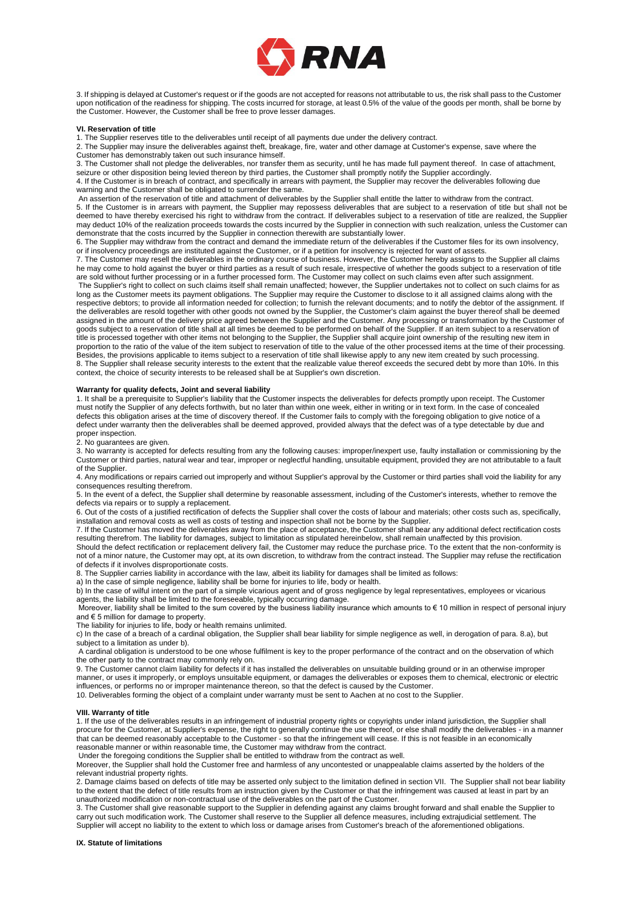

3. If shipping is delayed at Customer's request or if the goods are not accepted for reasons not attributable to us, the risk shall pass to the Customer upon notification of the readiness for shipping. The costs incurred for storage, at least 0.5% of the value of the goods per month, shall be borne by the Customer. However, the Customer shall be free to prove lesser damages.

#### **VI. Reservation of title**

1. The Supplier reserves title to the deliverables until receipt of all payments due under the delivery contract.

2. The Supplier may insure the deliverables against theft, breakage, fire, water and other damage at Customer's expense, save where the Customer has demonstrably taken out such insurance himself.

3. The Customer shall not pledge the deliverables, nor transfer them as security, until he has made full payment thereof. In case of attachment, seizure or other disposition being levied thereon by third parties, the Customer shall promptly notify the Supplier accordingly.

4. If the Customer is in breach of contract, and specifically in arrears with payment, the Supplier may recover the deliverables following due warning and the Customer shall be obligated to surrender the same.

An assertion of the reservation of title and attachment of deliverables by the Supplier shall entitle the latter to withdraw from the contract. 5. If the Customer is in arrears with payment, the Supplier may repossess deliverables that are subject to a reservation of title but shall not be deemed to have thereby exercised his right to withdraw from the contract. If deliverables subject to a reservation of title are realized, the Supplier may deduct 10% of the realization proceeds towards the costs incurred by the Supplier in connection with such realization, unless the Customer can demonstrate that the costs incurred by the Supplier in connection therewith are substantially lower.

6. The Supplier may withdraw from the contract and demand the immediate return of the deliverables if the Customer files for its own insolvency, or if insolvency proceedings are instituted against the Customer, or if a petition for insolvency is rejected for want of assets.

7. The Customer may resell the deliverables in the ordinary course of business. However, the Customer hereby assigns to the Supplier all claims he may come to hold against the buyer or third parties as a result of such resale, irrespective of whether the goods subject to a reservation of title are sold without further processing or in a further processed form. The Customer may collect on such claims even after such assignment.

The Supplier's right to collect on such claims itself shall remain unaffected; however, the Supplier undertakes not to collect on such claims for as long as the Customer meets its payment obligations. The Supplier may require the Customer to disclose to it all assigned claims along with the respective debtors; to provide all information needed for collection; to furnish the relevant documents; and to notify the debtor of the assignment. If the deliverables are resold together with other goods not owned by the Supplier, the Customer's claim against the buyer thereof shall be deemed assigned in the amount of the delivery price agreed between the Supplier and the Customer. Any processing or transformation by the Customer of goods subject to a reservation of title shall at all times be deemed to be performed on behalf of the Supplier. If an item subject to a reservation of title is processed together with other items not belonging to the Supplier, the Supplier shall acquire joint ownership of the resulting new item in proportion to the ratio of the value of the item subject to reservation of title to the value of the other processed items at the time of their processing. Besides, the provisions applicable to items subject to a reservation of title shall likewise apply to any new item created by such processing. 8. The Supplier shall release security interests to the extent that the realizable value thereof exceeds the secured debt by more than 10%. In this context, the choice of security interests to be released shall be at Supplier's own discretion.

## **Warranty for quality defects, Joint and several liability**

1. It shall be a prerequisite to Supplier's liability that the Customer inspects the deliverables for defects promptly upon receipt. The Customer must notify the Supplier of any defects forthwith, but no later than within one week, either in writing or in text form. In the case of concealed defects this obligation arises at the time of discovery thereof. If the Customer fails to comply with the foregoing obligation to give notice of a defect under warranty then the deliverables shall be deemed approved, provided always that the defect was of a type detectable by due and proper inspection.

2. No guarantees are given.

3. No warranty is accepted for defects resulting from any the following causes: improper/inexpert use, faulty installation or commissioning by the Customer or third parties, natural wear and tear, improper or neglectful handling, unsuitable equipment, provided they are not attributable to a fault of the Supplier.

4. Any modifications or repairs carried out improperly and without Supplier's approval by the Customer or third parties shall void the liability for any consequences resulting therefrom.

5. In the event of a defect, the Supplier shall determine by reasonable assessment, including of the Customer's interests, whether to remove the defects via repairs or to supply a replacement.

6. Out of the costs of a justified rectification of defects the Supplier shall cover the costs of labour and materials; other costs such as, specifically, installation and removal costs as well as costs of testing and inspection shall not be borne by the Supplier.

7. If the Customer has moved the deliverables away from the place of acceptance, the Customer shall bear any additional defect rectification costs resulting therefrom. The liability for damages, subject to limitation as stipulated hereinbelow, shall remain unaffected by this provision.

Should the defect rectification or replacement delivery fail, the Customer may reduce the purchase price. To the extent that the non-conformity is not of a minor nature, the Customer may opt, at its own discretion, to withdraw from the contract instead. The Supplier may refuse the rectification of defects if it involves disproportionate costs.

8. The Supplier carries liability in accordance with the law, albeit its liability for damages shall be limited as follows:

a) In the case of simple negligence, liability shall be borne for injuries to life, body or health. b) In the case of wilful intent on the part of a simple vicarious agent and of gross negligence by legal representatives, employees or vicarious

agents, the liability shall be limited to the foreseeable, typically occurring damage.

Moreover, liability shall be limited to the sum covered by the business liability insurance which amounts to € 10 million in respect of personal injury and € 5 million for damage to property.

The liability for injuries to life, body or health remains unlimited.

c) In the case of a breach of a cardinal obligation, the Supplier shall bear liability for simple negligence as well, in derogation of para. 8.a), but subject to a limitation as under b).

A cardinal obligation is understood to be one whose fulfilment is key to the proper performance of the contract and on the observation of which the other party to the contract may commonly rely on.

9. The Customer cannot claim liability for defects if it has installed the deliverables on unsuitable building ground or in an otherwise improper manner, or uses it improperly, or employs unsuitable equipment, or damages the deliverables or exposes them to chemical, electronic or electric influences, or performs no or improper maintenance thereon, so that the defect is caused by the Customer.

10. Deliverables forming the object of a complaint under warranty must be sent to Aachen at no cost to the Supplier.

### **VIII. Warranty of title**

1. If the use of the deliverables results in an infringement of industrial property rights or copyrights under inland jurisdiction, the Supplier shall procure for the Customer, at Supplier's expense, the right to generally continue the use thereof, or else shall modify the deliverables - in a manner that can be deemed reasonably acceptable to the Customer - so that the infringement will cease. If this is not feasible in an economically reasonable manner or within reasonable time, the Customer may withdraw from the contract.

Under the foregoing conditions the Supplier shall be entitled to withdraw from the contract as well.

Moreover, the Supplier shall hold the Customer free and harmless of any uncontested or unappealable claims asserted by the holders of the relevant industrial property rights.

2. Damage claims based on defects of title may be asserted only subject to the limitation defined in section VII. The Supplier shall not bear liability to the extent that the defect of title results from an instruction given by the Customer or that the infringement was caused at least in part by an unauthorized modification or non-contractual use of the deliverables on the part of the Customer.

3. The Customer shall give reasonable support to the Supplier in defending against any claims brought forward and shall enable the Supplier to carry out such modification work. The Customer shall reserve to the Supplier all defence measures, including extrajudicial settlement. The Supplier will accept no liability to the extent to which loss or damage arises from Customer's breach of the aforementioned obligations.